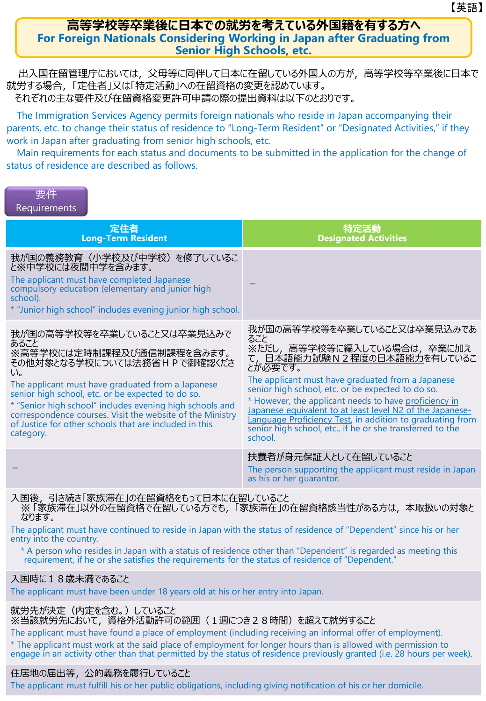### **高等学校等卒業後に日本での就労を考えている外国籍を有する方へ For Foreign Nationals Considering Working in Japan after Graduating from Senior High Schools, etc.**

出入国在留管理庁においては,父母等に同伴して日本に在留している外国人の方が,高等学校等卒業後に日本で 就労する場合,「定住者」又は「特定活動」への在留資格の変更を認めています。 それぞれの主な要件及び在留資格変更許可申請の際の提出資料は以下のとおりです。

The Immigration Services Agency permits foreign nationals who reside in Japan accompanying their parents, etc. to change their status of residence to "Long-Term Resident" or "Designated Activities," if they work in Japan after graduating from senior high schools, etc.

Main requirements for each status and documents to be submitted in the application for the change of status of residence are described as follows.

| 要件           |  |  |
|--------------|--|--|
| Requirements |  |  |

| 定住者<br><b>Long-Term Resident</b>                                                                                                                                                                                                                                                                                                                                                                                                      | 特定活動<br><b>Designated Activities</b>                                                                                                                                                                                                                                                                                                                                                                                                                                           |
|---------------------------------------------------------------------------------------------------------------------------------------------------------------------------------------------------------------------------------------------------------------------------------------------------------------------------------------------------------------------------------------------------------------------------------------|--------------------------------------------------------------------------------------------------------------------------------------------------------------------------------------------------------------------------------------------------------------------------------------------------------------------------------------------------------------------------------------------------------------------------------------------------------------------------------|
| 我が国の義務教育(小学校及び中学校)を修了しているこ<br>と※中学校には夜間中学を含みます。<br>The applicant must have completed Japanese<br>compulsory education (elementary and junior high<br>school).<br>* "Junior high school" includes evening junior high school.                                                                                                                                                                                                          |                                                                                                                                                                                                                                                                                                                                                                                                                                                                                |
| 我が国の高等学校等を卒業していること又は卒業見込みで<br>あること<br>※高等学校には定時制課程及び通信制課程を含みます。<br>その他対象となる学校については法務省HPで御確認くださ<br>$\mathsf{U}_{\mathsf{a}}$<br>The applicant must have graduated from a Japanese<br>senior high school, etc. or be expected to do so.<br>* "Senior high school" includes evening high schools and<br>correspondence courses. Visit the website of the Ministry<br>of Justice for other schools that are included in this<br>category. | 我が国の高等学校等を卒業していること又は卒業見込みであ<br>ること<br>※ただし,高等学校等に編入している場合は,卒業に加え<br>て,日本語能力試験N2程度の日本語能力を有しているこ<br>とが必要です。<br>The applicant must have graduated from a Japanese<br>senior high school, etc. or be expected to do so.<br>* However, the applicant needs to have proficiency in<br>Japanese equivalent to at least level N2 of the Japanese-<br>Language Proficiency Test, in addition to graduating from<br>senior high school, etc., if he or she transferred to the<br>school. |
|                                                                                                                                                                                                                                                                                                                                                                                                                                       | 扶養者が身元保証人として在留していること<br>The person supporting the applicant must reside in Japan<br>as his or her guarantor.                                                                                                                                                                                                                                                                                                                                                                   |
| 7. 第3次<br>21+クキ+「完长ン世左」へ左印次枚た+ - てロキに左印 ていファレ                                                                                                                                                                                                                                                                                                                                                                                         |                                                                                                                                                                                                                                                                                                                                                                                                                                                                                |

入国後,引き続き「家族滞在」の在留資格をもって日本に在留していること ※ 「家族滞在」以外の在留資格で在留している方でも,「家族滞在」の在留資格該当性がある方は,本取扱いの対象と なります。

The applicant must have continued to reside in Japan with the status of residence of "Dependent" since his or her entry into the country.

\* A person who resides in Japan with a status of residence other than "Dependent" is regarded as meeting this requirement, if he or she satisfies the requirements for the status of residence of "Dependent."

## 入国時に18歳未満であること

The applicant must have been under 18 years old at his or her entry into Japan.

就労先が決定(内定を含む。)していること ※当該就労先において,資格外活動許可の範囲(1週につき28時間)を超えて就労すること

The applicant must have found a place of employment (including receiving an informal offer of employment). \* The applicant must work at the said place of employment for longer hours than is allowed with permission to engage in an activity other than that permitted by the status of residence previously granted (i.e. 28 hours per week).

## 住居地の届出等,公的義務を履行していること

The applicant must fulfill his or her public obligations, including giving notification of his or her domicile.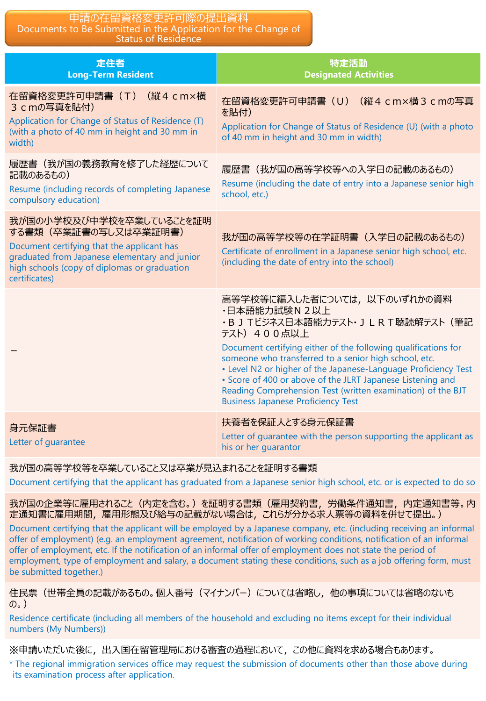#### 申請の在留資格変更許可際の提出資料 Documents to Be Submitted in the Application for the Change of Status of Residence

| 定住者<br><b>Long-Term Resident</b>                                                                                                                                                                                 | 特定活動<br><b>Designated Activities</b>                                                                                                                                                                                                                                                                                                                                                                                                                                        |
|------------------------------------------------------------------------------------------------------------------------------------------------------------------------------------------------------------------|-----------------------------------------------------------------------------------------------------------------------------------------------------------------------------------------------------------------------------------------------------------------------------------------------------------------------------------------------------------------------------------------------------------------------------------------------------------------------------|
| (縦4 cm×横<br>在留資格変更許可申請書 (T)<br>3 cmの写真を貼付)<br>Application for Change of Status of Residence (T)<br>(with a photo of 40 mm in height and 30 mm in<br>width)                                                       | 在留資格変更許可申請書 (U) (縦4 cm×横3 cmの写真<br>を貼付)<br>Application for Change of Status of Residence (U) (with a photo<br>of 40 mm in height and 30 mm in width)                                                                                                                                                                                                                                                                                                                        |
| 履歴書(我が国の義務教育を修了した経歴について<br>記載のあるもの)<br>Resume (including records of completing Japanese<br>compulsory education)                                                                                                 | 履歴書(我が国の高等学校等への入学日の記載のあるもの)<br>Resume (including the date of entry into a Japanese senior high<br>school, etc.)                                                                                                                                                                                                                                                                                                                                                             |
| 我が国の小学校及び中学校を卒業していることを証明<br>する書類(卒業証書の写し又は卒業証明書)<br>Document certifying that the applicant has<br>graduated from Japanese elementary and junior<br>high schools (copy of diplomas or graduation<br>certificates) | 我が国の高等学校等の在学証明書(入学日の記載のあるもの)<br>Certificate of enrollment in a Japanese senior high school, etc.<br>(including the date of entry into the school)                                                                                                                                                                                                                                                                                                                           |
|                                                                                                                                                                                                                  | 高等学校等に編入した者については、以下のいずれかの資料<br>·日本語能力試験N2以上<br>·B J Tビジネス日本語能力テスト· J L R T 聴読解テスト (筆記<br>テスト) 400点以上<br>Document certifying either of the following qualifications for<br>someone who transferred to a senior high school, etc.<br>• Level N2 or higher of the Japanese-Language Proficiency Test<br>• Score of 400 or above of the JLRT Japanese Listening and<br>Reading Comprehension Test (written examination) of the BJT<br><b>Business Japanese Proficiency Test</b> |
| 身元保証書<br>Letter of guarantee                                                                                                                                                                                     | 扶養者を保証人とする身元保証書<br>Letter of guarantee with the person supporting the applicant as<br>his or her quarantor                                                                                                                                                                                                                                                                                                                                                                  |

我が国の高等学校等を卒業していること又は卒業が見込まれることを証明する書類

Document certifying that the applicant has graduated from a Japanese senior high school, etc. or is expected to do so

我が国の企業等に雇用されること(内定を含む。)を証明する書類(雇用契約書,労働条件通知書,内定通知書等。内 定通知書に雇用期間,雇用形態及び給与の記載がない場合は,これらが分かる求人票等の資料を併せて提出。)

Document certifying that the applicant will be employed by a Japanese company, etc. (including receiving an informal offer of employment) (e.g. an employment agreement, notification of working conditions, notification of an informal offer of employment, etc. If the notification of an informal offer of employment does not state the period of employment, type of employment and salary, a document stating these conditions, such as a job offering form, must be submitted together.)

住民票(世帯全員の記載があるもの。個人番号(マイナンバー)については省略し,他の事項については省略のないも  $(\mathcal{D}_o)$ 

Residence certificate (including all members of the household and excluding no items except for their individual numbers (My Numbers))

※申請いただいた後に,出入国在留管理局における審査の過程において,この他に資料を求める場合もあります。

\* The regional immigration services office may request the submission of documents other than those above during its examination process after application.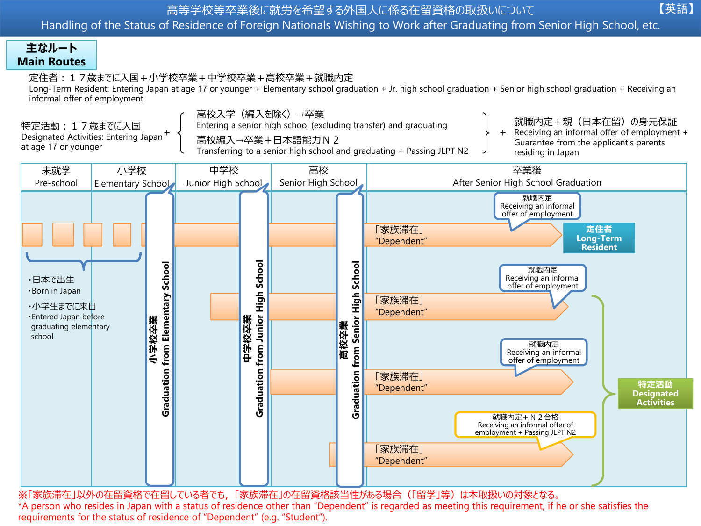Handling of the Status of Residence of Foreign Nationals Wishing to Work after Graduating from Senior High School, etc.

# **主なルート Main Routes**

定住者:17歳までに入国+小学校卒業+中学校卒業+高校卒業+就職内定

Long-Term Resident: Entering Japan at age 17 or younger + Elementary school graduation + Jr. high school graduation + Senior high school graduation + Receiving an informal offer of employment

特定活動:17歳までに入国 Designated Activities: Entering Japan + at age 17 or younger

高校入学(編入を除く)→卒業 Entering a senior high school (excluding transfer) and graduating

高校編入→卒業+日本語能力N2

Transferring to a senior high school and graduating + Passing JLPT N2

就職内定+親(日本在留)の身元保証

【英語】

Receiving an informal offer of employment + Guarantee from the applicant's parents residing in Japan +



※「家族滞在」以外の在留資格で在留している者でも,「家族滞在」の在留資格該当性がある場合(「留学」等)は本取扱いの対象となる。 \*A person who resides in Japan with a status of residence other than "Dependent" is regarded as meeting this requirement, if he or she satisfies the requirements for the status of residence of "Dependent" (e.g. "Student").